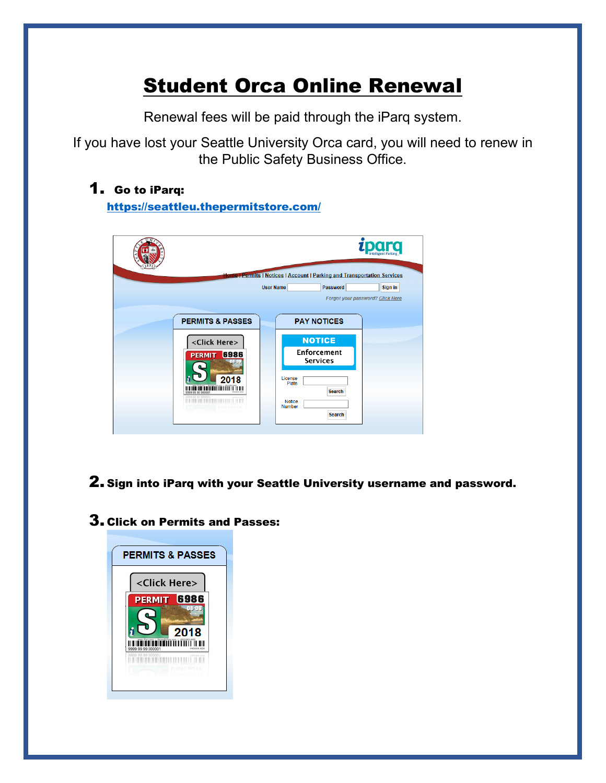# Student Orca Online Renewal

Renewal fees will be paid through the iParq system.

If you have lost your Seattle University Orca card, you will need to renew in the Public Safety Business Office.

### 1. Go to iParq:

<https://seattleu.thepermitstore.com/>

|                             | Home   Permits   Notices   Account   Parking and Transportation Services |  |
|-----------------------------|--------------------------------------------------------------------------|--|
|                             | Password<br><b>User Name</b><br>Sign in                                  |  |
|                             | Forgot your password? Click Here                                         |  |
|                             |                                                                          |  |
| <b>PERMITS &amp; PASSES</b> | <b>PAY NOTICES</b>                                                       |  |
| <click here=""></click>     | <b>NOTICE</b>                                                            |  |
| 6986<br><b>PERMIT</b>       | <b>Enforcement</b>                                                       |  |
|                             | <b>Services</b>                                                          |  |
| 20<br>18                    | License<br>Plate                                                         |  |
| 9999 99 99 000001           | <b>Search</b>                                                            |  |
|                             | <b>Notice</b><br><b>Number</b>                                           |  |
|                             | Search                                                                   |  |

### 2. Sign into iParq with your Seattle University username and password.

#### 3. Click on Permits and Passes:

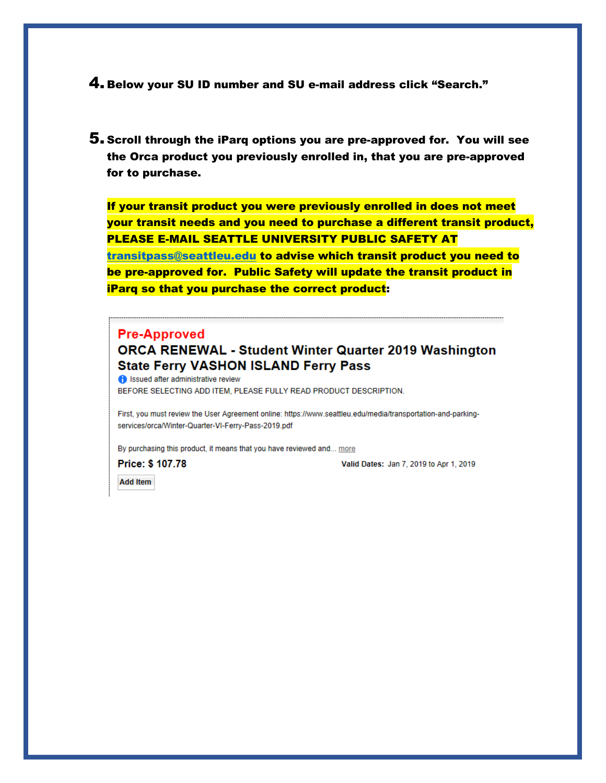4. Below your SU ID number and SU e-mail address click "Search."

5. Scroll through the iParq options you are pre-approved for. You will see the Orca product you previously enrolled in, that you are pre-approved for to purchase.

If your transit product you were previously enrolled in does not meet your transit needs and you need to purchase a different transit product, PLEASE E-MAIL SEATTLE UNIVERSITY PUBLIC SAFETY AT [transitpass@seattleu.edu](mailto:transitpass@seattleu.edu) to advise which transit product you need to be pre-approved for. Public Safety will update the transit product in iParq so that you purchase the correct product:

#### **Pre-Approved**

#### **ORCA RENEWAL - Student Winter Quarter 2019 Washington State Ferry VASHON ISLAND Ferry Pass**

ssued after administrative review BEFORE SELECTING ADD ITEM, PLEASE FULLY READ PRODUCT DESCRIPTION.

First, you must review the User Agreement online: https://www.seattleu.edu/media/transportation-and-parkingservices/orca/Winter-Quarter-VI-Ferry-Pass-2019.pdf

By purchasing this product, it means that you have reviewed and... more

Price: \$ 107.78

Valid Dates: Jan 7, 2019 to Apr 1, 2019

**Add Item**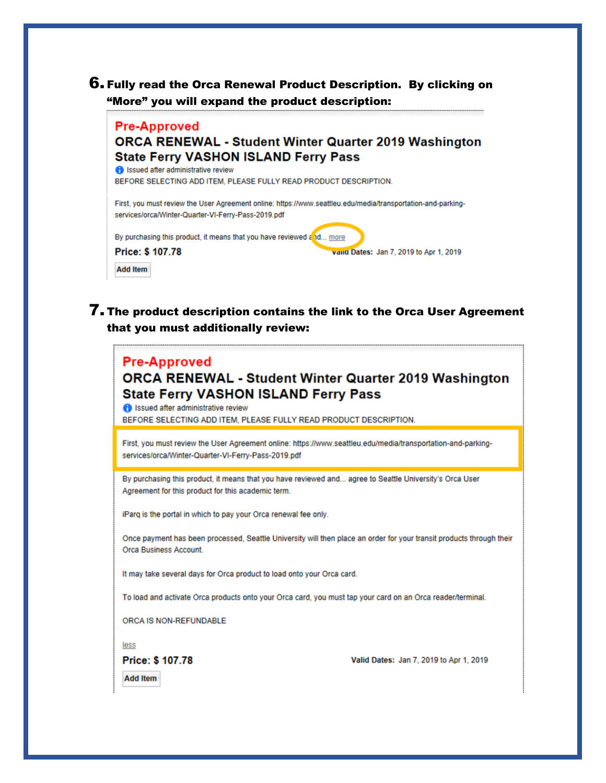

#### **Pre-Approved ORCA RENEWAL - Student Winter Quarter 2019 Washington State Ferry VASHON ISLAND Ferry Pass**

Sued after administrative review BEFORE SELECTING ADD ITEM, PLEASE FULLY READ PRODUCT DESCRIPTION. First, you must review the User Agreement online; https://www.seattleu.edu/media/transportation-and-parkingservices/orca/Winter-Quarter-VI-Ferry-Pass-2019.pdf By purchasing this product, it means that you have reviewed and... more Price: \$107.78 valld Dates: Jan 7, 2019 to Apr 1, 2019 **Add Item** 

7. The product description contains the link to the Orca User Agreement that you must additionally review:

### **Pre-Approved ORCA RENEWAL - Student Winter Quarter 2019 Washington State Ferry VASHON ISLAND Ferry Pass f** Issued after administrative review BEFORE SELECTING ADD ITEM, PLEASE FULLY READ PRODUCT DESCRIPTION. First, you must review the User Agreement online: https://www.seattleu.edu/media/transportation-and-parkingservices/orca/Winter-Quarter-VI-Ferry-Pass-2019.pdf By purchasing this product, it means that you have reviewed and... agree to Seattle University's Orca User Agreement for this product for this academic term. iParq is the portal in which to pay your Orca renewal fee only. Once payment has been processed. Seattle University will then place an order for your transit products through their Orca Business Account. It may take several days for Orca product to load onto your Orca card. To load and activate Orca products onto your Orca card, you must tap your card on an Orca reader/terminal. ORCA IS NON-REFUNDABLE less Price: \$ 107.78 Valid Dates: Jan 7, 2019 to Apr 1, 2019 **Add Item**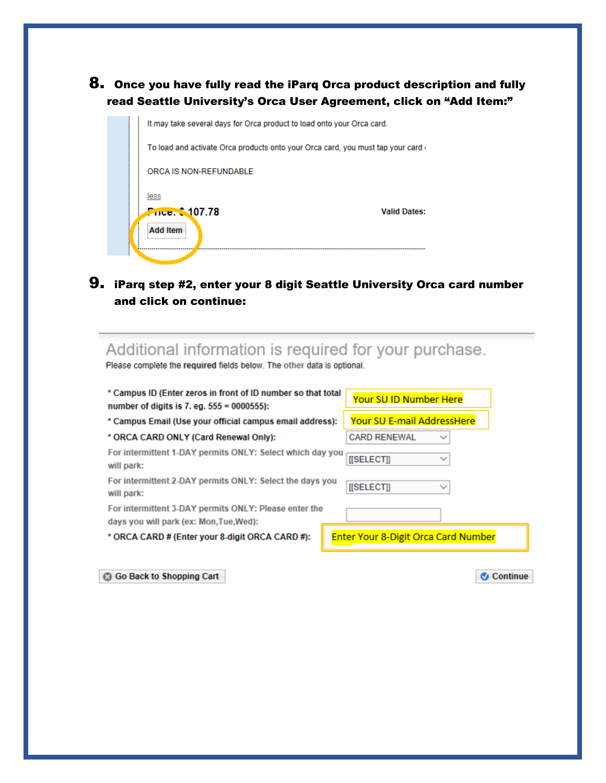#### 8. Once you have fully read the iParq Orca product description and fully read Seattle University's Orca User Agreement, click on "Add Item:"



### 9. iParq step #2, enter your 8 digit Seattle University Orca card number and click on continue:

## Additional information is required for your purchase.

Please complete the required fields below. The other data is optional.

| * Campus ID (Enter zeros in front of ID number so that total<br>number of digits is $7.$ eg. $555 = 0000555$ : | Your SU ID Number Here                     |  |
|----------------------------------------------------------------------------------------------------------------|--------------------------------------------|--|
| * Campus Email (Use your official campus email address):                                                       | Your SU E-mail AddressHere                 |  |
| * ORCA CARD ONLY (Card Renewal Only):                                                                          | <b>CARD RENEWAL</b><br>$\checkmark$        |  |
| For intermittent 1-DAY permits ONLY: Select which day you<br>will park:                                        | <b>ISELECTII</b><br>$\checkmark$           |  |
| For intermittent 2-DAY permits ONLY: Select the days you<br>will park:                                         | [[SELECT]]                                 |  |
| For intermittent 3-DAY permits ONLY: Please enter the<br>days you will park (ex: Mon.Tue.Wed):                 |                                            |  |
| * ORCA CARD # (Enter your 8-digit ORCA CARD #):                                                                | <b>Enter Your 8-Digit Orca Card Number</b> |  |

**Go Back to Shopping Cart** 

Continue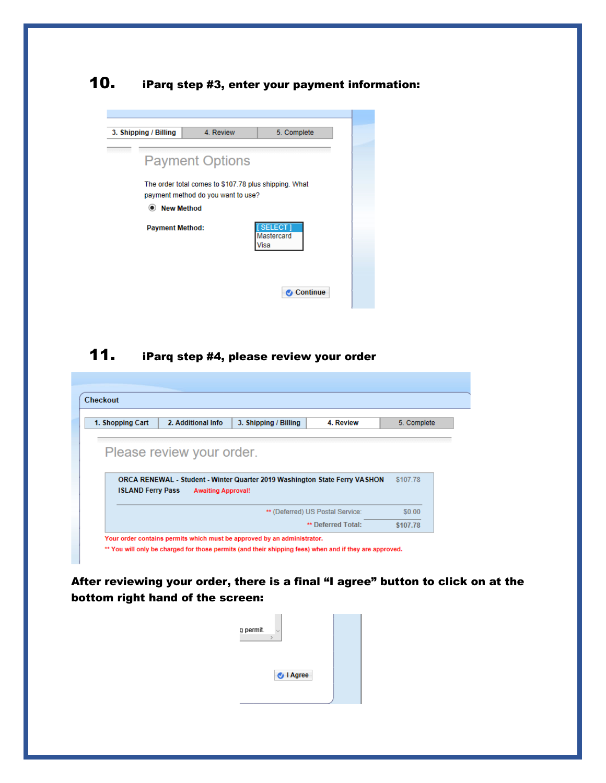### 10. iParq step #3, enter your payment information:

| 3. Shipping / Billing        | 4. Review                                                                                   | 5. Complete                         |
|------------------------------|---------------------------------------------------------------------------------------------|-------------------------------------|
|                              | <b>Payment Options</b>                                                                      |                                     |
| <b>New Method</b><br>$\odot$ | The order total comes to \$107.78 plus shipping. What<br>payment method do you want to use? |                                     |
| <b>Payment Method:</b>       |                                                                                             | <b>SELECT</b><br>Mastercard<br>Visa |
|                              |                                                                                             | <b>Continue</b>                     |

### 11. iParq step #4, please review your order

| 1. Shopping Cart         | 2. Additional Info        | 3. Shipping / Billing                                                      | 4. Review                        | 5. Complete |
|--------------------------|---------------------------|----------------------------------------------------------------------------|----------------------------------|-------------|
|                          |                           |                                                                            |                                  |             |
|                          | Please review your order. |                                                                            |                                  |             |
|                          |                           |                                                                            |                                  |             |
|                          |                           | ORCA RENEWAL - Student - Winter Quarter 2019 Washington State Ferry VASHON |                                  | \$107.78    |
|                          |                           |                                                                            |                                  |             |
| <b>ISLAND Ferry Pass</b> | <b>Awaiting Approval!</b> |                                                                            |                                  |             |
|                          |                           |                                                                            | ** (Deferred) US Postal Service: | \$0.00      |

After reviewing your order, there is a final "I agree" button to click on at the bottom right hand of the screen:

| g permit. | $\sim$           |  |
|-----------|------------------|--|
|           | <b>U</b> I Agree |  |